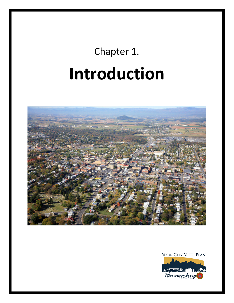# Chapter 1. **Introduction**



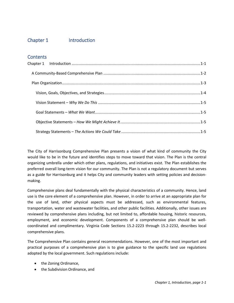# <span id="page-1-0"></span>Chapter 1 Introduction

## **Contents**

The City of Harrisonburg Comprehensive Plan presents a vision of what kind of community the City would like to be in the future and identifies steps to move toward that vision. The Plan is the central organizing umbrella under which other plans, regulations, and initiatives exist. The Plan establishes the preferred overall long-term vision for our community. The Plan is not a regulatory document but serves as a guide for Harrisonburg and it helps City and community leaders with setting policies and decisionmaking.

Comprehensive plans deal fundamentally with the physical characteristics of a community. Hence, land use is the core element of a comprehensive plan. However, in order to arrive at an appropriate plan for the use of land, other physical aspects must be addressed, such as environmental features, transportation, water and wastewater facilities, and other public facilities. Additionally, other issues are reviewed by comprehensive plans including, but not limited to, affordable housing, historic resources, employment, and economic development. Components of a comprehensive plan should be wellcoordinated and complimentary. Virginia Code Sections 15.2-2223 through 15.2-2232, describes local comprehensive plans.

The Comprehensive Plan contains general recommendations. However, one of the most important and practical purposes of a comprehensive plan is to give guidance to the specific land use regulations adopted by the local government. Such regulations include:

- the Zoning Ordinance,
- the Subdivision Ordinance, and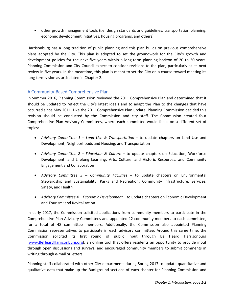• other growth management tools (i.e. design standards and guidelines, transportation planning, economic development initiatives, housing programs, and others).

Harrisonburg has a long tradition of public planning and this plan builds on previous comprehensive plans adopted by the City. This plan is adopted to set the groundwork for the City's growth and development policies for the next five years within a long-term planning horizon of 20 to 30 years. Planning Commission and City Council expect to consider revisions to the plan, particularly at its next review in five years. In the meantime, this plan is meant to set the City on a course toward meeting its long-term vision as articulated in Chapter 2.

## <span id="page-2-0"></span>A Community-Based Comprehensive Plan

In Summer 2016, Planning Commission reviewed the 2011 Comprehensive Plan and determined that it should be updated to reflect the City's latest ideals and to adapt the Plan to the changes that have occurred since May 2011. Like the 2011 Comprehensive Plan update, Planning Commission decided this revision should be conducted by the Commission and city staff. The Commission created four Comprehensive Plan Advisory Committees, where each committee would focus on a different set of topics:

- *Advisory Committee 1 – Land Use & Transportation* to update chapters on Land Use and Development; Neighborhoods and Housing; and Transportation
- *Advisory Committee 2 – Education & Culture* to update chapters on Education, Workforce Development, and Lifelong Learning; Arts, Culture, and Historic Resources; and Community Engagement and Collaboration
- *Advisory Committee 3 – Community Facilities* to update chapters on Environmental Stewardship and Sustainability; Parks and Recreation; Community Infrastructure, Services, Safety, and Health
- *Advisory Committee 4 – Economic Development* to update chapters on Economic Development and Tourism; and Revitalization

In early 2017, the Commission solicited applications from community members to participate in the Comprehensive Plan Advisory Committees and appointed 12 community members to each committee, for a total of 48 committee members. Additionally, the Commission also appointed Planning Commission representatives to participate in each advisory committee. Around this same time, the Commission solicited its first round of public input through Be Heard Harrisonburg [\(www.BeHeardHarrisonburg.org\)](http://www.beheardharrisonburg.org/), an online tool that offers residents an opportunity to provide input through open discussions and surveys, and encouraged community members to submit comments in writing through e-mail or letters.

Planning staff collaborated with other City departments during Spring 2017 to update quantitative and qualitative data that make up the Background sections of each chapter for Planning Commission and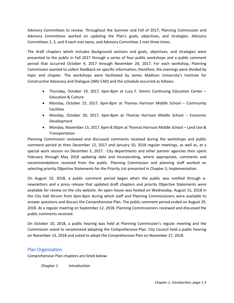Advisory Committees to review. Throughout the Summer and Fall of 2017, Planning Commission and Advisory Committees worked on updating the Plan's goals, objectives, and strategies. Advisory Committees 2, 3, and 4 each met twice, and Advisory Committee 1 met three times.

The draft chapters which includes Background sections and goals, objectives, and strategies were presented to the public in Fall 2017 through a series of four public workshops and a public comment period that occurred October 9, 2017 through November 28, 2017. For each workshop, Planning Commission wanted to collect feedback on specific information; therefore, the evenings were divided by topic and chapter. The workshops were facilitated by James Madison University's Institute for Constructive Advocacy and Dialogue (JMU CAD) and the schedule occurred as follows:

- Thursday, October 19, 2017, 6pm-8pm at Lucy F. Simms Continuing Education Center Education & Culture
- Monday, October 23, 2017, 6pm-8pm at Thomas Harrison Middle School Community Facilities
- Monday, October 30, 2017, 6pm-8pm at Thomas Harrison Middle School Economic Development
- Monday, November 13, 2017, 6pm-8:30pm at Thomas Harrison Middle School Land Use & Transportation

Planning Commission reviewed and discussed comments received during the workshops and public comment period at their December 12, 2017 and January 10, 2018 regular meetings, as well as, at a special work session on December 5, 2017. City departments and other partner agencies then spent February through May 2018 updating data and incorporating, where appropriate, comments and recommendations received from the public. Planning Commission and planning staff worked on selecting priority Objective Statements for the Priority List presented in Chapter 3, Implementation.

On August 10, 2018, a public comment period began when the public was notified through enewsletters and a press release that updated draft chapters and priority Objective Statements were available for review on the city website. An open house was hosted on Wednesday, August 15, 2018 in the City Hall Atrium from 6pm-8pm during which staff and Planning Commissioners were available to answer questions and discuss the Comprehensive Plan. The public comment period ended on August 29, 2018. At a regular meeting on September 12, 2018, Planning Commissioners reviewed and discussed the public comments received.

On October 10, 2018, a public hearing was held at Planning Commission's regular meeting and the Commission voted to recommend adopting the Comprehensive Plan. City Council held a public hearing on November 13, 2018 and voted to adopt the Comprehensive Plan on November 27, 2018.

### <span id="page-3-0"></span>Plan Organization

Comprehensive Plan chapters are listed below:

Chapter 1 Introduction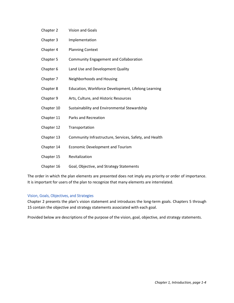- Chapter 2 Vision and Goals
- Chapter 3 Implementation
- Chapter 4 Planning Context
- Chapter 5 Community Engagement and Collaboration
- Chapter 6 Land Use and Development Quality
- Chapter 7 Neighborhoods and Housing
- Chapter 8 Education, Workforce Development, Lifelong Learning
- Chapter 9 Arts, Culture, and Historic Resources
- Chapter 10 Sustainability and Environmental Stewardship
- Chapter 11 Parks and Recreation
- Chapter 12 Transportation
- Chapter 13 Community Infrastructure, Services, Safety, and Health
- Chapter 14 Economic Development and Tourism
- Chapter 15 Revitalization
- Chapter 16 Goal, Objective, and Strategy Statements

The order in which the plan elements are presented does not imply any priority or order of importance. It is important for users of the plan to recognize that many elements are interrelated.

#### <span id="page-4-0"></span>Vision, Goals, Objectives, and Strategies

Chapter 2 presents the plan's vision statement and introduces the long-term goals. Chapters 5 through 15 contain the objective and strategy statements associated with each goal.

Provided below are descriptions of the purpose of the vision, goal, objective, and strategy statements.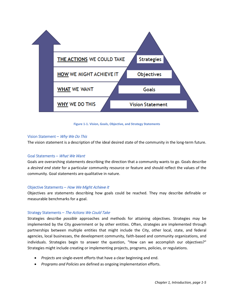

**Figure 1-1. Vision, Goals, Objective, and Strategy Statements**

#### <span id="page-5-0"></span>Vision Statement – Why We Do This

The vision statement is a description of the ideal desired state of the community in the long-term future.

#### <span id="page-5-1"></span>Goal Statements – What We Want

Goals are overarching statements describing the direction that a community wants to go. Goals describe a *desired end state* for a particular community resource or feature and should reflect the values of the community. Goal statements are qualitative in nature.

#### <span id="page-5-2"></span>Objective Statements – How We Might Achieve It

Objectives are statements describing how goals could be reached. They may describe definable or measurable benchmarks for a goal.

#### <span id="page-5-3"></span>Strategy Statements – The Actions We Could Take

Strategies describe *possible* approaches and methods for attaining objectives. Strategies may be implemented by the City government or by other entities. Often, strategies are implemented through partnerships between multiple entities that might include the City, other local, state, and federal agencies, local businesses, the development community, faith-based and community organizations, and individuals. Strategies begin to answer the question, "How can we accomplish our objectives?" Strategies might include creating or implementing projects, programs, policies, or regulations.

- *Projects* are single-event efforts that have a clear beginning and end.
- *Programs and Policies* are defined as ongoing implementation efforts.